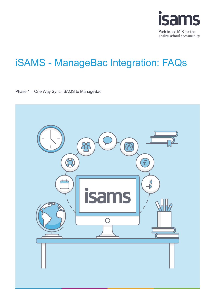

Web based MIS for the entire school community

# iSAMS - ManageBac Integration: FAQs

Phase 1 – One Way Sync, iSAMS to ManageBac

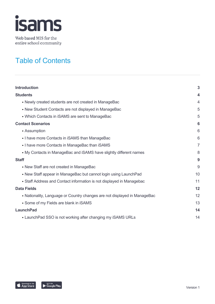

Web based MIS for the entire school community

## Table of Contents

| <b>Introduction</b>                                                       | $\mathbf{3}$    |
|---------------------------------------------------------------------------|-----------------|
| <b>Students</b>                                                           | 4               |
| • Newly created students are not created in ManageBac                     | $\overline{4}$  |
| • New Student Contacts are not displayed in ManageBac                     | 5               |
| • Which Contacts in iSAMS are sent to ManageBac                           | 5               |
| <b>Contact Scenarios</b>                                                  | $6\phantom{1}6$ |
| • Assumption                                                              | 6               |
| • I have more Contacts in iSAMS than ManageBac                            | 6               |
| • I have more Contacts in ManageBac than iSAMS                            | $\overline{7}$  |
| • My Contacts in ManageBac and iSAMS have slightly different names        | 8               |
| <b>Staff</b>                                                              | 9               |
| • New Staff are not created in ManageBac                                  | 9               |
| • New Staff appear in ManageBac but cannot login using LaunchPad          | 10              |
| • Staff Address and Contact information is not displayed in Managebac     | 11              |
| <b>Data Fields</b>                                                        | 12              |
| • Nationality, Language or Country changes are not displayed in ManageBac | 12              |
| • Some of my Fields are blank in iSAMS                                    | 13              |
| <b>LaunchPad</b>                                                          | 14              |
| • LaunchPad SSO is not working after changing my iSAMS URLs               | 14              |
|                                                                           |                 |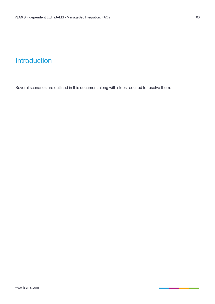## **Introduction**

Several scenarios are outlined in this document along with steps required to resolve them.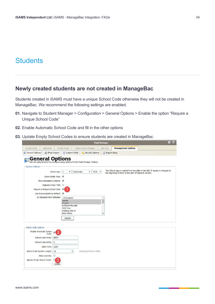## **Students**

### **Newly created students are not created in ManageBac**

Students created in iSAMS must have a unique School Code otherwise they will not be created in ManageBac. We recommend the following settings are enabled.

- **01.** Navigate to Student Manager > Configuration > General Options > Enable the option "Require a Unique School Code"
- **02.** Enable Automatic School Code and fill in the other options
- **03.** Update Empty School Codes to ensure students are created in ManageBac

|                                                   | <b>Pupil Manager</b>                                                                                                                                                                                                                                                                                                                      | $\overline{G}$ |
|---------------------------------------------------|-------------------------------------------------------------------------------------------------------------------------------------------------------------------------------------------------------------------------------------------------------------------------------------------------------------------------------------------|----------------|
| Current Pupils<br>Applicants                      | <b>Management Options</b><br>Former Pupils<br>Custom Group Manager<br>Add Pupil                                                                                                                                                                                                                                                           |                |
| <b>General Options</b>                            | <b>Custom Fields</b><br>Photo Import<br>Security Options<br>Report Setup                                                                                                                                                                                                                                                                  |                |
| <b>General Options:</b>                           | General Options <b>Section State of August 2012</b><br>Use the options below to configure setup options for the Pupil Manager Module.<br>The School Age is created from the date on the left. It usually is changed at<br>School Age: 1<br>September<br>$\overline{\mathbf{v}}$<br>$\overline{\mathbf{v}}$<br>$2016$ $\blacktriangledown$ |                |
|                                                   | the beginning of term to the start of relevant months.<br>Show Family Tree: ✔                                                                                                                                                                                                                                                             |                |
| Show Deceased Contacts: √                         |                                                                                                                                                                                                                                                                                                                                           |                |
|                                                   | Require a Pupil Title:                                                                                                                                                                                                                                                                                                                    |                |
| Require a Unique School Code: √                   |                                                                                                                                                                                                                                                                                                                                           |                |
| Use Autocomplete by default:                      |                                                                                                                                                                                                                                                                                                                                           |                |
| SC Required ADM Statuses:<br>School Code Options: | +4 Accepted<br>Denied<br>Enquiry<br>Entrance fee paid<br><b>JESS Test</b><br>meeting with JF<br>New Intake<br>Update                                                                                                                                                                                                                      |                |
| Enable Automatic School<br>Code:                  |                                                                                                                                                                                                                                                                                                                                           |                |
| School Code Prefix:                               | <b>BBTS</b>                                                                                                                                                                                                                                                                                                                               |                |
| School Code Suffix: X                             |                                                                                                                                                                                                                                                                                                                                           |                |
| Start From:                                       | 2229                                                                                                                                                                                                                                                                                                                                      |                |
| School Code Number Length: 10                     | Excluding Prefix & Suffix.<br>▼                                                                                                                                                                                                                                                                                                           |                |
| Allow override:                                   |                                                                                                                                                                                                                                                                                                                                           |                |
| Update Empty School Codes:                        | З<br>Update                                                                                                                                                                                                                                                                                                                               |                |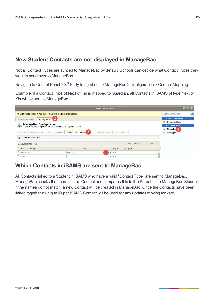## **New Student Contacts are not displayed in ManageBac**

Not all Contact Types are synced to ManageBac by default. Schools can decide what Contact Types they want to send over to ManageBac.

Navigate to Control Panel > 3<sup>rd</sup> Party Integrations > ManageBac > Configuration > Contact Mapping

Example: If a Contact Type of Next of Kin is mapped to Guardian, all Contacts in iSAMS of type Next of Kin will be sent to ManageBac.

| <b>iSAMS Control Panel</b>                                                                                |                                           |                      |                            |                           |        |                             |
|-----------------------------------------------------------------------------------------------------------|-------------------------------------------|----------------------|----------------------------|---------------------------|--------|-----------------------------|
| Control Panel Home > Applications & Services > 3rd Party Integrations                                     |                                           |                      |                            | 國<br>Search Control Panel |        |                             |
| Configuration<br>Manage Integration                                                                       |                                           |                      |                            |                           |        | <b>Integration Overview</b> |
|                                                                                                           |                                           |                      |                            |                           |        | <b>Integration Status</b>   |
| <b>ManageBac Configuration</b><br>Use this area to configure the integration between ManageBac and iSAMS. |                                           |                      |                            |                           |        | <b>Faria Integrations</b>   |
| Status<br>Parent mapping<br>Student mapping                                                               | Contact Type mappin<br>Form Grade mapping |                      | User mapping               |                           | 半<br>粥 | ManageBad<br>OpenApply      |
| Update mappings below                                                                                     |                                           |                      |                            |                           |        |                             |
| Save Settings                                                                                             |                                           |                      | Show Unknown               | Show All                  |        |                             |
| <b>iSAMS Contact Type</b>                                                                                 | 3rd party Contact Type 1                  |                      | 3rd party Contact Type 2   |                           |        |                             |
| Next of Kin                                                                                               | Guardian                                  | $\blacktriangledown$ | N/A                        |                           |        |                             |
| $F$ Friend                                                                                                |                                           |                      | $\mathbf{v} \parallel N/A$ |                           |        |                             |

## **Which Contacts in iSAMS are sent to ManageBac**

All Contacts linked to a Student in iSAMS who have a valid "Contact Type" are sent to ManageBac. ManageBac checks the names of the Contact and compares this to the Parents of a ManageBac Student. If the names do not match, a new Contact will be created in ManageBac. Once the Contacts have been linked together a unique ID per iSAMS Contact will be used for any updates moving forward.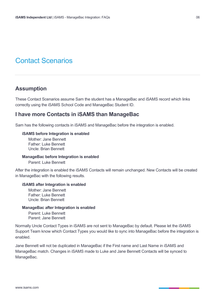## Contact Scenarios

### **Assumption**

These Contact Scenarios assume Sam the student has a ManageBac and iSAMS record which links correctly using the iSAMS School Code and ManageBac Student ID.

### **I have more Contacts in iSAMS than ManageBac**

Sam has the following contacts in iSAMS and ManageBac before the integration is enabled.

#### **iSAMS before Integration is enabled**

Mother: Jane Bennett Father: Luke Bennett Uncle: Brian Bennett

#### **ManageBac before Integration is enabled**

Parent: Luke Bennett

After the integration is enabled the iSAMS Contacts will remain unchanged. New Contacts will be created in ManageBac with the following results.

#### **iSAMS after Integration is enabled**

Mother: Jane Bennett Father: Luke Bennett Uncle: Brian Bennett

#### **ManageBac after Integration is enabled**

Parent: Luke Bennett Parent: Jane Bennett

Normally Uncle Contact Types in iSAMS are not sent to ManageBac by default. Please let the iSAMS Support Team know which Contact Types you would like to sync into ManageBac before the integration is enabled.

Jane Bennett will not be duplicated in ManageBac if the First name and Last Name in iSAMS and ManageBac match. Changes in iSAMS made to Luke and Jane Bennett Contacts will be synced to ManageBac.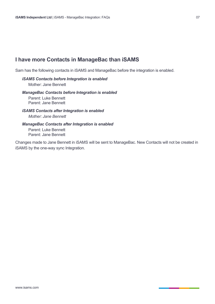### **I have more Contacts in ManageBac than iSAMS**

Sam has the following contacts in iSAMS and ManageBac before the integration is enabled.

#### *iSAMS Contacts before Integration is enabled*

Mother: Jane Bennett

#### *ManageBac Contacts before Integration is enabled*

Parent: Luke Bennett Parent: Jane Bennett

*iSAMS Contacts after Integration is enabled Mother: Jane Bennett*

### *ManageBac Contacts after Integration is enabled*

Parent: Luke Bennett Parent: Jane Bennett

Changes made to Jane Bennett in iSAMS will be sent to ManageBac. New Contacts will not be created in iSAMS by the one-way sync Integration.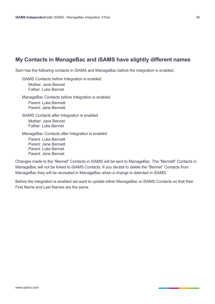## **My Contacts in ManageBac and iSAMS have slightly different names**

Sam has the following contacts in iSAMS and ManageBac before the integration is enabled.

iSAMS Contacts before Integration is enabled Mother: Jane Bennet Father: Luke Bennet ManageBac Contacts before Integration is enabled Parent: Luke Bennett Parent: Jane Bennett iSAMS Contacts after Integration is enabled Mother: Jane Bennet Father: Luke Bennet ManageBac Contacts after Integration is enabled Parent: Luke Bennett Parent: Jane Bennett Parent: Luke Bennet Parent: Jane Bennet

Changes made to the "Bennet" Contacts in iSAMS will be sent to ManageBac. The "Bennett" Contacts in ManageBac will not be linked to iSAMS Contacts. If you decide to delete the "Bennet" Contacts from ManageBac they will be recreated in ManageBac when a change is detected in iSAMS.

Before the integration is enabled we want to update either ManageBac or iSAMS Contacts so that their First Name and Last Names are the same.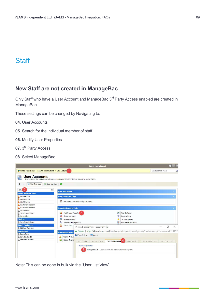## **Staff**

## **New Staff are not created in ManageBac**

Only Staff who have a User Account and ManageBac 3<sup>rd</sup> Party Access enabled are created in ManageBac.

These settings can be changed by Navigating to:

- **04.** User Accounts
- **05.** Search for the individual member of staff
- **06.** Modify User Properties
- 07. 3<sup>rd</sup> Party Access
- **08.** Select ManageBac

|                                                                    | <b>iSAMS Control Panel</b>                                                                         | $\overline{C}$                                                                                          |
|--------------------------------------------------------------------|----------------------------------------------------------------------------------------------------|---------------------------------------------------------------------------------------------------------|
| Control Panel Home > Security & Permissions > User Accounts        |                                                                                                    | Search Control Panel<br>$\sqrt{3}$                                                                      |
| <b>User Accounts</b>                                               | This section of the control panel allows you to manage the users that are allowed to access iSAMS. |                                                                                                         |
| User Tree View<br>User List View <b>C</b>                          |                                                                                                    |                                                                                                         |
| 2<br><b>S</b><br>sam<br><b>iSAMS Administrators</b>                | <b>User Information</b>                                                                            |                                                                                                         |
| ISAMS Admin                                                        | <b>User Access and Links</b>                                                                       | ٠                                                                                                       |
| ISAMS Admin<br><b>ISAMS Admin</b><br><b>C.</b> iSAMS Administrator | Sam has access rights to log into iSAMS.                                                           |                                                                                                         |
| iSAMS Administrator                                                | <b>Users Options and Tasks</b>                                                                     |                                                                                                         |
| Sam Bennett                                                        |                                                                                                    |                                                                                                         |
| Sam Bennett-Driver                                                 | Modify User Propertie<br>$\mathbb{Z}^2$                                                            | <b>User Statistics</b>                                                                                  |
| Sam Michau                                                         | Disable Account                                                                                    | Login Activity                                                                                          |
| <b>Students</b>                                                    | Reset Password                                                                                     | <b>Security Activity</b>                                                                                |
| Sam Bennett-Driver                                                 | q,<br><b>Reset Security Question</b>                                                               | <b>Edit User Preferences</b>                                                                            |
| <b>ISAMS Employees</b>                                             | Delete User<br>iSAMS Control Panel - Google Chrome                                                 | □<br>$\times$<br>-                                                                                      |
| Matthew Sampson                                                    |                                                                                                    |                                                                                                         |
| <b>Demo Users</b>                                                  | <b>User Management</b>                                                                             | A Secure https://demo.isams.cloud/modules/controlpanel/security/users/createuser.asp?id=samwise25190259 |
| Isams Demo                                                         | Cancel<br>Save & Close<br>Create User Ad                                                           |                                                                                                         |
| Sam Scholefield<br>Samantha Nicholls                               |                                                                                                    |                                                                                                         |
|                                                                    | Create User Gr<br>3rd Party Access<br><b>Account Details</b><br><b>User Details</b>                | My Network Space<br>Contact Details<br>User Devices [0]                                                 |
|                                                                    | - Faria Integrations:<br>5<br>ManageBac: Select to allow this user access to ManageBac.            |                                                                                                         |

Note: This can be done in bulk via the "User List View"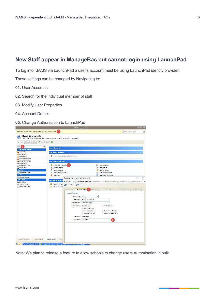## **New Staff appear in ManageBac but cannot login using LaunchPad**

To log into iSAMS via LaunchPad a user's account must be using LaunchPad identity provider.

These settings can be changed by Navigating to:

- **01.** User Accounts
- **02.** Search for the individual member of staff
- **03.** Modify User Properties
- **04.** Account Details
- **05.** Change Authorisation to LaunchPad



Note: We plan to release a feature to allow schools to change users Authorisation in bulk.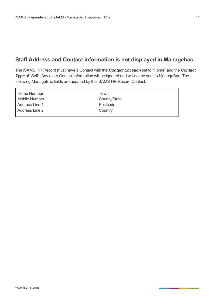## **Staff Address and Contact information is not displayed in Managebac**

The iSAMS HR Record must have a Contact with the *Contact Location* set to "Home" and the *Contact*  **Type** of "Self". Any other Contact information will be ignored and will not be sent to ManageBac. The following ManageBac fields are updated by the iSAMS HR Record Contact.

| Home Number<br>Mobile Number | Town<br>County/State |
|------------------------------|----------------------|
| <b>Address Line 1</b>        | Postcode             |
| Address Line 2               | Country              |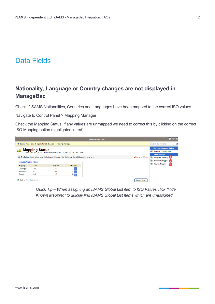## Data Fields

## **Nationality, Language or Country changes are not displayed in ManageBac**

Check if iSAMS Nationalities, Countries and Languages have been mapped to the correct ISO values

Navigate to Control Panel > Mapping Manager

Check the Mapping Status, if any values are unmapped we need to correct this by clicking on the correct ISO Mapping option (highlighted in red).



*Quick Tip – When assigning an iSAMS Global List item to ISO Values click "Hide Known Mapping" to quickly find iSAMS Global List Items which are unassigned.*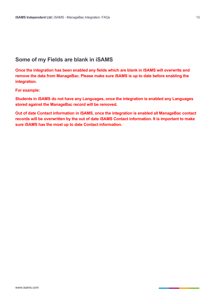## **Some of my Fields are blank in iSAMS**

**Once the integration has been enabled any fields which are blank in iSAMS will overwrite and remove the data from ManageBac. Please make sure iSAMS is up to date before enabling the integration.**

**For example:**

**Students in iSAMS do not have any Languages, once the integration is enabled any Languages stored against the ManageBac record will be removed.**

**Out of date Contact information in iSAMS, once the integration is enabled all ManageBac contact records will be overwritten by the out of date iSAMS Contact information. It is important to make sure iSAMS has the most up to date Contact information.**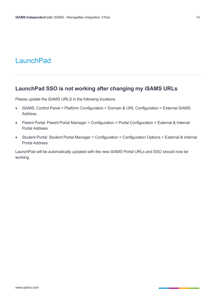## **LaunchPad**

### **LaunchPad SSO is not working after changing my iSAMS URLs**

Please update the iSAMS URLS in the following locations.

- iSAMS: Control Panel > Platform Configuration > Domain & URL Configuration > External iSAMS Address
- Parent Portal: Parent Portal Manager > Configuration > Portal Configuration > External & Internal Portal Address
- Student Portal: Student Portal Manager > Configuration > Configuration Options > External & Internal Portal Address

LaunchPad will be automatically updated with the new iSAMS Portal URLs and SSO should now be working.